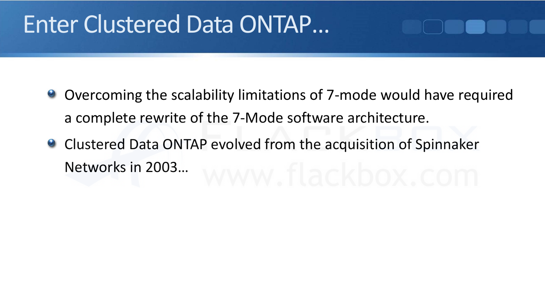### Enter Clustered Data ONTAP…

- Overcoming the scalability limitations of 7-mode would have required a complete rewrite of the 7‐Mode software architecture.
- **Clustered Data ONTAP evolved from the acquisition of Spinnaker** Networks in 2003…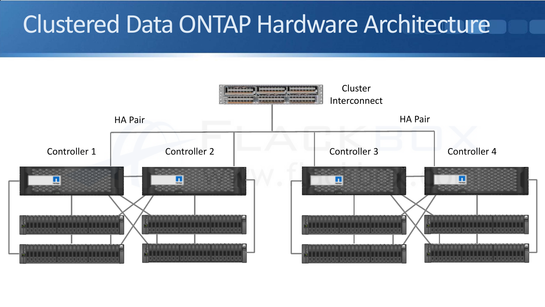### Clustered Data ONTAP Hardware Architecture

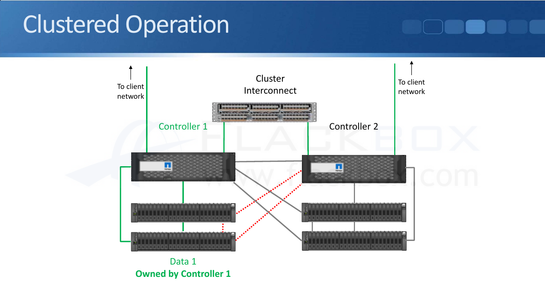### Clustered Operation

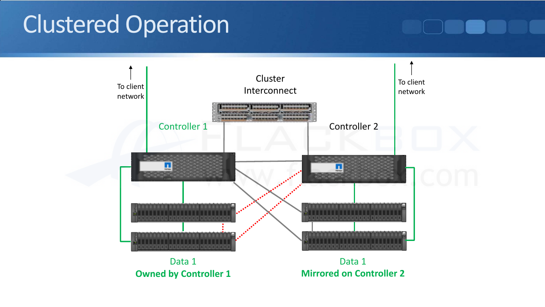### Clustered Operation

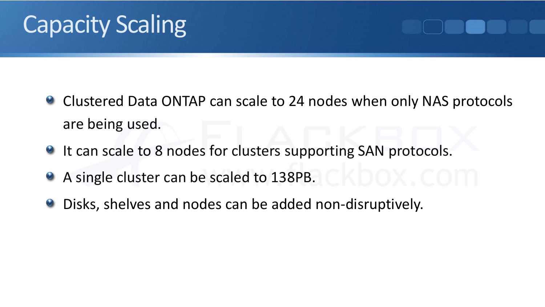# Capacity Scaling

- Clustered Data ONTAP can scale to 24 nodes when only NAS protocols  $\odot$ are being used.
- <sup>2</sup> It can scale to 8 nodes for clusters supporting SAN protocols.
- A single cluster can be scaled to 138PB.  $\bullet$
- Disks, shelves and nodes can be added non-disruptively.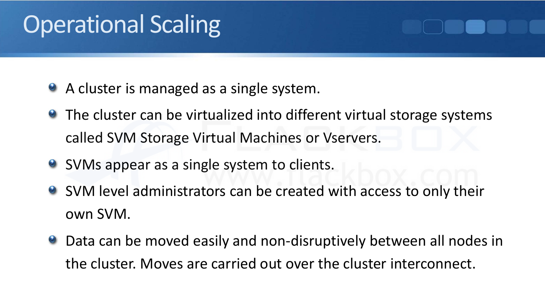## **Operational Scaling**

- A cluster is managed as a single system.
- The cluster can be virtualized into different virtual storage systems called SVM Storage Virtual Machines or Vservers.
- SVMs appear as a single system to clients.
- SVM level administrators can be created with access to only their own SVM.
- Data can be moved easily and non-disruptively between all nodes in the cluster. Moves are carried out over the cluster interconnect.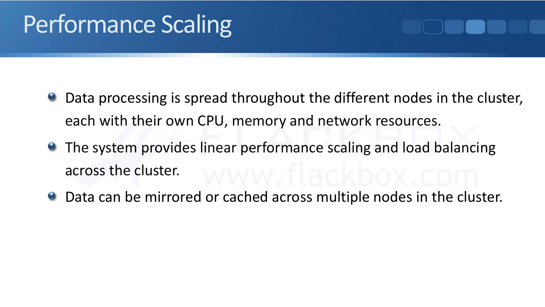## Performance Scaling

- Data processing is spread throughout the different nodes in the cluster, each with their own CPU, memory and network resources.
- The system provides linear performance scaling and load balancing across the cluster.
- Data can be mirrored or cached across multiple nodes in the cluster.